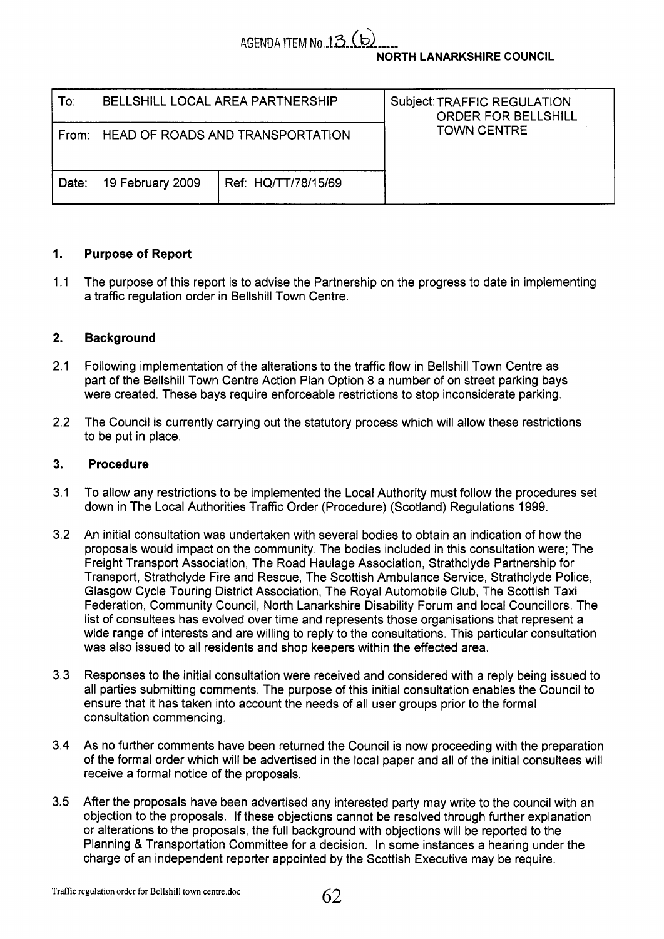

**NORTH LANARKSHIRE COUNCIL** 

| To:   | BELLSHILL LOCAL AREA PARTNERSHIP |                                        | Subject: TRAFFIC REGULATION<br><b>ORDER FOR BELLSHILL</b> |
|-------|----------------------------------|----------------------------------------|-----------------------------------------------------------|
|       |                                  | From: HEAD OF ROADS AND TRANSPORTATION | <b>TOWN CENTRE</b>                                        |
| Date: | 19 February 2009                 | Ref: HQ/TT/78/15/69                    |                                                           |

# **1. Purpose of Report**

1.1 The purpose of this report is to advise the Partnership on the progress to date in implementing a traffic regulation order in Bellshill Town Centre.

### **2. Background**

- 2.1 Following implementation of the alterations to the traffic flow in Bellshill Town Centre as part of the Bellshill Town Centre Action Plan Option 8 a number of on street parking bays were created. These bays require enforceable restrictions to stop inconsiderate parking.
- 2.2 The Council is currently carrying out the statutory process which will allow these restrictions to be put in place.

### **3. Procedure**

- **3.1** To allow any restrictions to be implemented the Local Authority must follow the procedures set down in The Local Authorities Traffic Order (Procedure) (Scotland) Regulations 1999.
- 3.2 An initial consultation was undertaken with several bodies to obtain an indication of how the proposals would impact on the community. The bodies included in this consultation were; The Freight Transport Association, The Road Haulage Association, Strathclyde Partnership for Transport, Strathclyde Fire and Rescue, The Scottish Ambulance Service, Strathclyde Police, Glasgow Cycle Touring District Association, The Royal Automobile Club, The Scottish Taxi Federation, Community Council, North Lanarkshire Disability Forum and local Councillors. The list of consultees has evolved over time and represents those organisations that represent a wide range of interests and are willing to reply to the consultations. This particular consultation was also issued to all residents and shop keepers within the effected area.
- 3.3 Responses to the initial consultation were received and considered with a reply being issued to all parties submitting comments. The purpose of this initial consultation enables the Council to ensure that it has taken into account the needs of all user groups prior to the formal consultation commencing.
- 3.4 As no further comments have been returned the Council is now proceeding with the preparation of the formal order which will be advertised in the local paper and all of the initial consultees will receive a formal notice of the proposals.
- 3.5 After the proposals have been advertised any interested party may write to the council with an objection to the proposals. If these objections cannot be resolved through further explanation or alterations to the proposals, the full background with objections will be reported to the Planning & Transportation Committee for a decision. In some instances a hearing under the charge of an independent reporter appointed by the Scottish Executive may be require.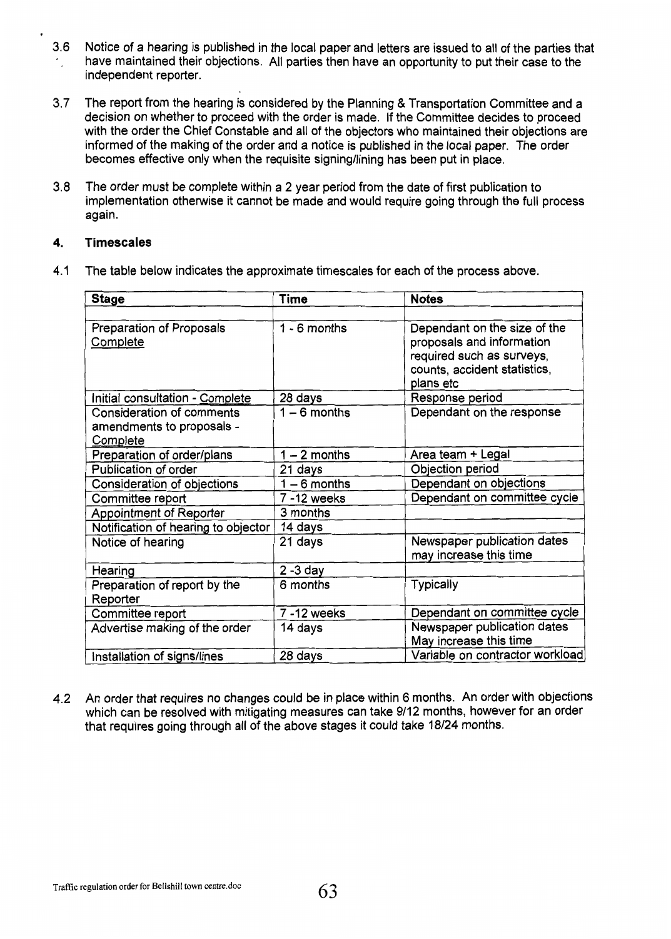- **3.6**  '. Notice of a hearing is published in the local paper and letters are issued to all of the parties that have maintained their objections. All parties then have an opportunity to put their case to the independent reporter.
- **3.7** The report from the hearing is considered by the Planning & Transportation Committee and a decision on whether to proceed with the order is made. If the Committee decides to proceed with the order the Chief Constable and all of the objectors who maintained their objections are informed of the making of the order and a notice is published in the local paper. The order becomes effective only when the requisite signing/lining has been put in place.
- **3.8** The order must be complete within a 2 year period from the date of first publication to implementation otherwise it cannot be made and would require going through the full process again.

## **4. Timescales**

**4.1** The table below indicates the approximate timescales for each of the process above.

| <b>Stage</b>                                                              | <b>Time</b>    | <b>Notes</b>                                                                                                                        |
|---------------------------------------------------------------------------|----------------|-------------------------------------------------------------------------------------------------------------------------------------|
|                                                                           |                |                                                                                                                                     |
| Preparation of Proposals<br>Complete                                      | $1 - 6$ months | Dependant on the size of the<br>proposals and information<br>required such as surveys,<br>counts, accident statistics,<br>plans etc |
| Initial consultation - Complete                                           | 28 days        | Response period                                                                                                                     |
| <b>Consideration of comments</b><br>amendments to proposals -<br>Complete | $1 - 6$ months | Dependant on the response                                                                                                           |
| Preparation of order/plans                                                | $1 - 2$ months | Area team + Legal                                                                                                                   |
| Publication of order                                                      | 21 days        | Objection period                                                                                                                    |
| Consideration of objections                                               | $1 - 6$ months | Dependant on objections                                                                                                             |
| Committee report                                                          | 7 - 12 weeks   | Dependant on committee cycle                                                                                                        |
| <b>Appointment of Reporter</b>                                            | 3 months       |                                                                                                                                     |
| Notification of hearing to objector                                       | 14 days        |                                                                                                                                     |
| Notice of hearing                                                         | 21 days        | Newspaper publication dates<br>may increase this time                                                                               |
| Hearing                                                                   | $2 - 3$ day    |                                                                                                                                     |
| Preparation of report by the<br>Reporter                                  | 6 months       | Typically                                                                                                                           |
| Committee report                                                          | 7 - 12 weeks   | Dependant on committee cycle                                                                                                        |
| Advertise making of the order                                             | 14 days        | Newspaper publication dates<br>May increase this time                                                                               |
| Installation of signs/lines                                               | 28 days        | Variable on contractor workload                                                                                                     |

**4.2 An** order that requires no changes could be in place within 6 months. An order with objections which can be resolved with mitigating measures can take 9/12 months, however for an order that requires going through all of the above stages it could take **18/24** months.